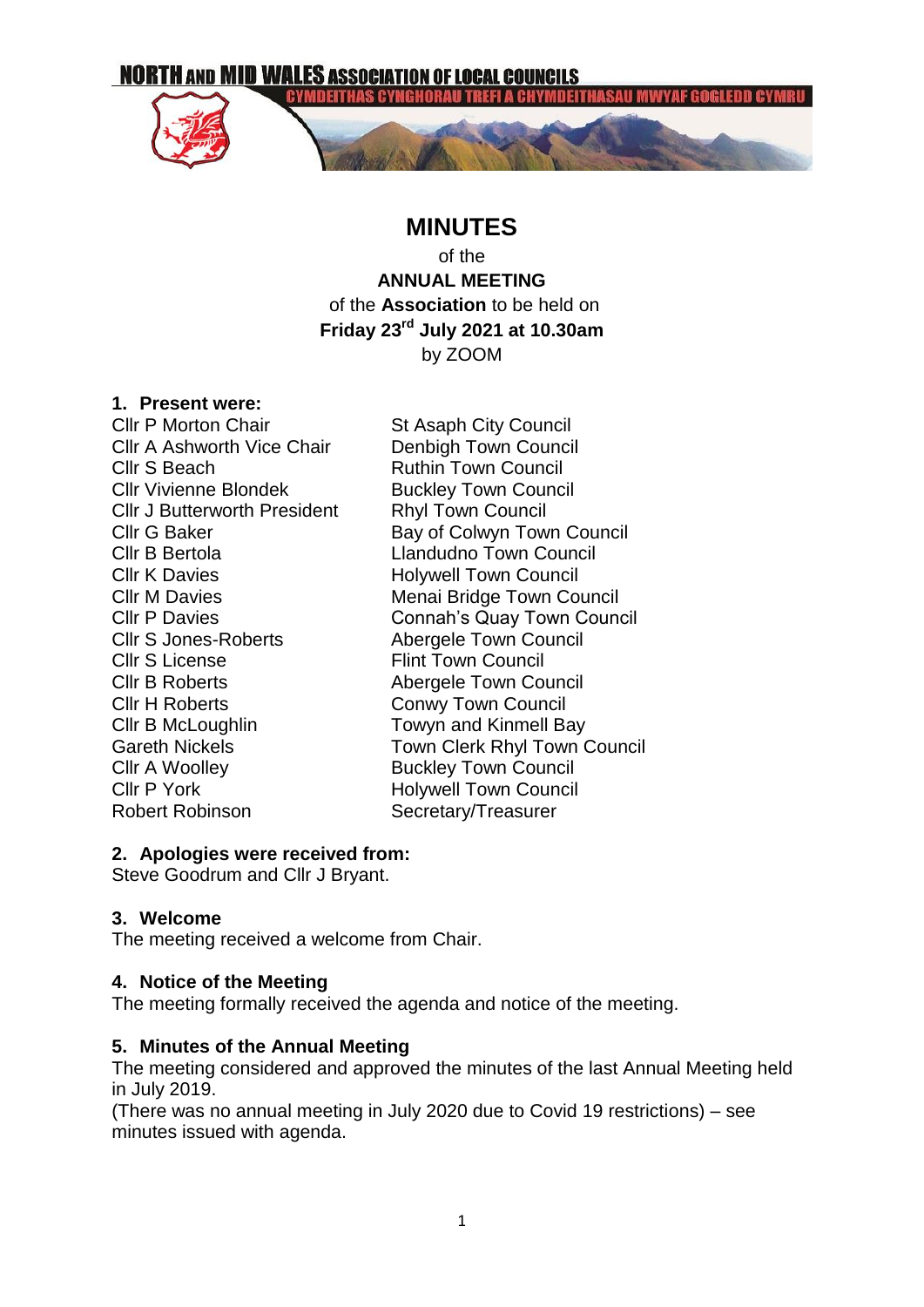**NORTH AND MID WALES ASSOCIATION OF LOCAL COUNCILS** 

**EYMDEITHAS CYNGHORA** 



## **MINUTES**

of the

**ANNUAL MEETING** of the **Association** to be held on **Friday 23rd July 2021 at 10.30am** by ZOOM

#### **1. Present were:**

**Cllr P Morton Chair** St Asaph City Council Cllr A Ashworth Vice Chair Denbigh Town Council **Cllr S Beach Cllr S Beach Ruthin Town Council** Cllr Vivienne Blondek Buckley Town Council Cllr J Butterworth President Rhyl Town Council Cllr K Davies **Holywell Town Council** Cllr S Jones-Roberts Abergele Town Council Cllr S License Flint Town Council Cllr B Roberts **Abergele Town Council** Cllr H Roberts Conwy Town Council Cllr B McLoughlin Towyn and Kinmell Bay Cllr A Woolley **Buckley Town Council** Cllr P York Holywell Town Council Robert Robinson Secretary/Treasurer

Cllr G Baker Bay of Colwyn Town Council Cllr B Bertola Llandudno Town Council Cllr M Davies **Menai Bridge Town Council** Cllr P Davies Connah's Quay Town Council Gareth Nickels **Town Clerk Rhyl Town Council** 

#### **2. Apologies were received from:**

Steve Goodrum and Cllr J Bryant.

## **3. Welcome**

The meeting received a welcome from Chair.

#### **4. Notice of the Meeting**

The meeting formally received the agenda and notice of the meeting.

#### **5. Minutes of the Annual Meeting**

The meeting considered and approved the minutes of the last Annual Meeting held in July 2019.

(There was no annual meeting in July 2020 due to Covid 19 restrictions) – see minutes issued with agenda.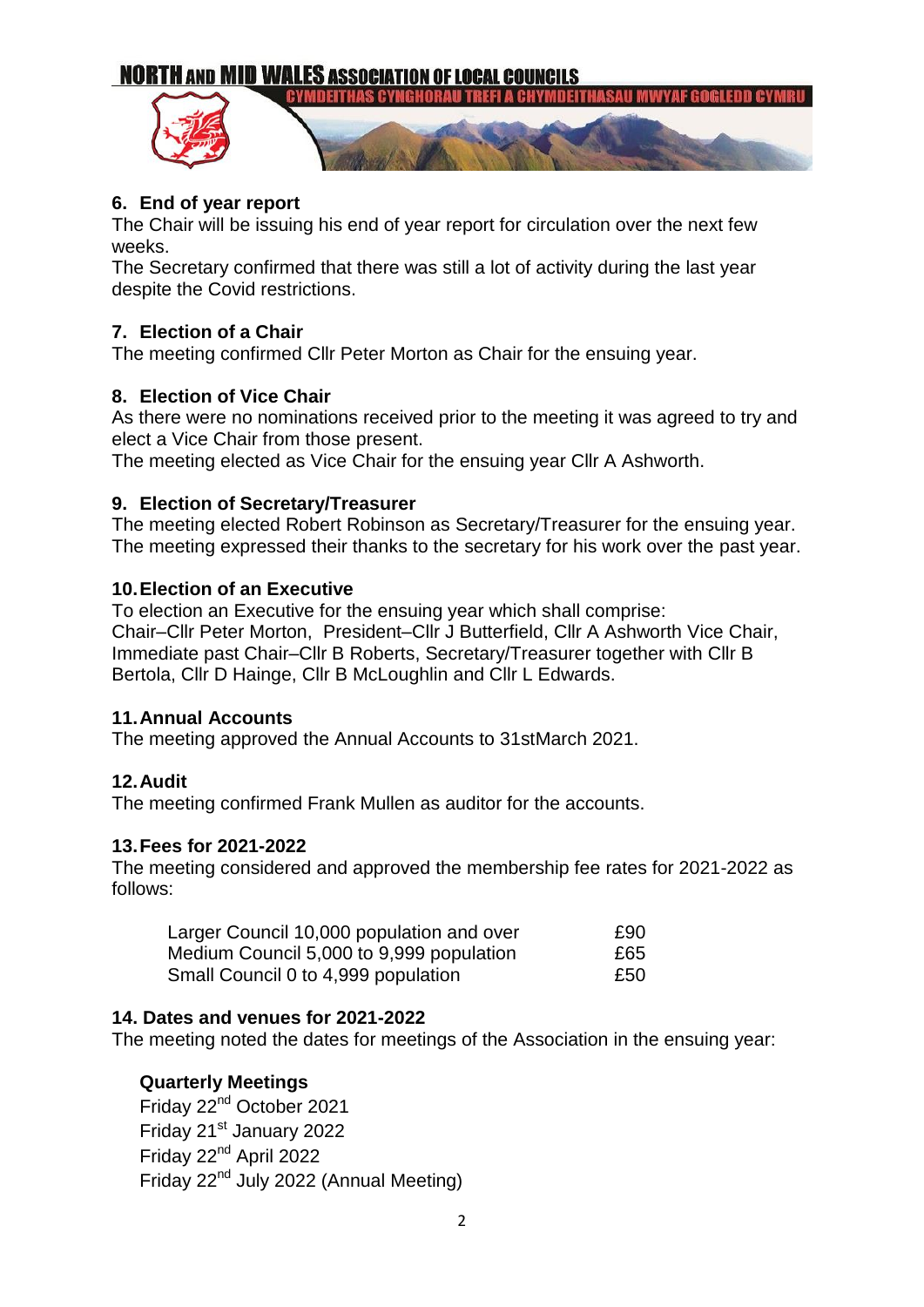# **NORTH AND MID WALES ASSOCIATION OF LOCAL COUNCILS**



## **6. End of year report**

The Chair will be issuing his end of year report for circulation over the next few weeks.

The Secretary confirmed that there was still a lot of activity during the last year despite the Covid restrictions.

### **7. Election of a Chair**

The meeting confirmed Cllr Peter Morton as Chair for the ensuing year.

## **8. Election of Vice Chair**

As there were no nominations received prior to the meeting it was agreed to try and elect a Vice Chair from those present.

The meeting elected as Vice Chair for the ensuing year Cllr A Ashworth.

#### **9. Election of Secretary/Treasurer**

The meeting elected Robert Robinson as Secretary/Treasurer for the ensuing year. The meeting expressed their thanks to the secretary for his work over the past year.

#### **10.Election of an Executive**

To election an Executive for the ensuing year which shall comprise: Chair–Cllr Peter Morton, President–Cllr J Butterfield, Cllr A Ashworth Vice Chair, Immediate past Chair–Cllr B Roberts, Secretary/Treasurer together with Cllr B Bertola, Cllr D Hainge, Cllr B McLoughlin and Cllr L Edwards.

#### **11.Annual Accounts**

The meeting approved the Annual Accounts to 31stMarch 2021.

#### **12.Audit**

The meeting confirmed Frank Mullen as auditor for the accounts.

#### **13.Fees for 2021-2022**

The meeting considered and approved the membership fee rates for 2021-2022 as follows:

| Larger Council 10,000 population and over | £90 |
|-------------------------------------------|-----|
| Medium Council 5,000 to 9,999 population  | £65 |
| Small Council 0 to 4,999 population       | £50 |

#### **14. Dates and venues for 2021-2022**

The meeting noted the dates for meetings of the Association in the ensuing year:

#### **Quarterly Meetings**

Friday 22<sup>nd</sup> October 2021 Friday 21<sup>st</sup> January 2022 Friday 22nd April 2022 Friday 22nd July 2022 (Annual Meeting)